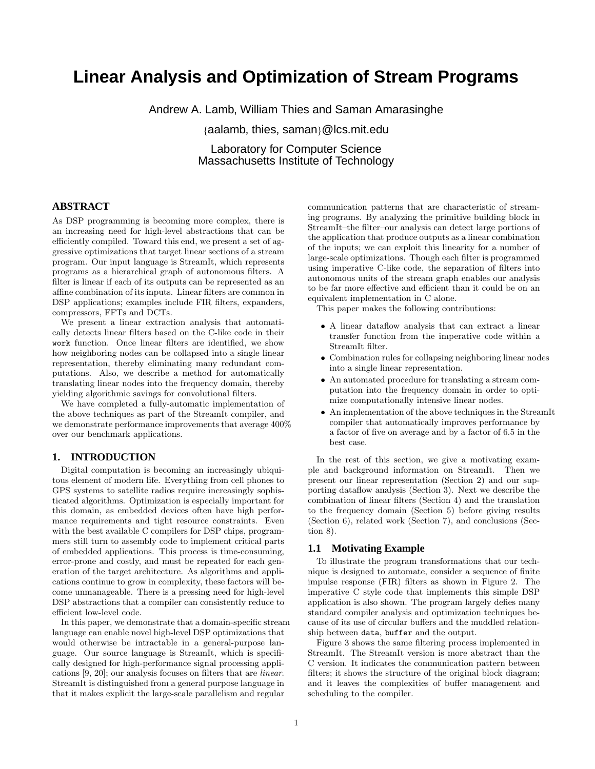# **Linear Analysis and Optimization of Stream Programs**

Andrew A. Lamb, William Thies and Saman Amarasinghe

{aalamb, thies, saman}@lcs.mit.edu

Laboratory for Computer Science Massachusetts Institute of Technology

# **ABSTRACT**

As DSP programming is becoming more complex, there is an increasing need for high-level abstractions that can be efficiently compiled. Toward this end, we present a set of aggressive optimizations that target linear sections of a stream program. Our input language is StreamIt, which represents programs as a hierarchical graph of autonomous filters. A filter is linear if each of its outputs can be represented as an affine combination of its inputs. Linear filters are common in DSP applications; examples include FIR filters, expanders, compressors, FFTs and DCTs.

We present a linear extraction analysis that automatically detects linear filters based on the C-like code in their work function. Once linear filters are identified, we show how neighboring nodes can be collapsed into a single linear representation, thereby eliminating many redundant computations. Also, we describe a method for automatically translating linear nodes into the frequency domain, thereby yielding algorithmic savings for convolutional filters.

We have completed a fully-automatic implementation of the above techniques as part of the StreamIt compiler, and we demonstrate performance improvements that average 400% over our benchmark applications.

### **1. INTRODUCTION**

Digital computation is becoming an increasingly ubiquitous element of modern life. Everything from cell phones to GPS systems to satellite radios require increasingly sophisticated algorithms. Optimization is especially important for this domain, as embedded devices often have high performance requirements and tight resource constraints. Even with the best available C compilers for DSP chips, programmers still turn to assembly code to implement critical parts of embedded applications. This process is time-consuming, error-prone and costly, and must be repeated for each generation of the target architecture. As algorithms and applications continue to grow in complexity, these factors will become unmanageable. There is a pressing need for high-level DSP abstractions that a compiler can consistently reduce to efficient low-level code.

In this paper, we demonstrate that a domain-specific stream language can enable novel high-level DSP optimizations that would otherwise be intractable in a general-purpose language. Our source language is StreamIt, which is specifically designed for high-performance signal processing applications [9, 20]; our analysis focuses on filters that are linear. StreamIt is distinguished from a general purpose language in that it makes explicit the large-scale parallelism and regular

communication patterns that are characteristic of streaming programs. By analyzing the primitive building block in StreamIt–the filter–our analysis can detect large portions of the application that produce outputs as a linear combination of the inputs; we can exploit this linearity for a number of large-scale optimizations. Though each filter is programmed using imperative C-like code, the separation of filters into autonomous units of the stream graph enables our analysis to be far more effective and efficient than it could be on an equivalent implementation in C alone.

This paper makes the following contributions:

- A linear dataflow analysis that can extract a linear transfer function from the imperative code within a StreamIt filter.
- Combination rules for collapsing neighboring linear nodes into a single linear representation.
- An automated procedure for translating a stream computation into the frequency domain in order to optimize computationally intensive linear nodes.
- An implementation of the above techniques in the StreamIt compiler that automatically improves performance by a factor of five on average and by a factor of 6.5 in the best case.

In the rest of this section, we give a motivating example and background information on StreamIt. Then we present our linear representation (Section 2) and our supporting dataflow analysis (Section 3). Next we describe the combination of linear filters (Section 4) and the translation to the frequency domain (Section 5) before giving results (Section 6), related work (Section 7), and conclusions (Section 8).

#### **1.1 Motivating Example**

To illustrate the program transformations that our technique is designed to automate, consider a sequence of finite impulse response (FIR) filters as shown in Figure 2. The imperative C style code that implements this simple DSP application is also shown. The program largely defies many standard compiler analysis and optimization techniques because of its use of circular buffers and the muddled relationship between data, buffer and the output.

Figure 3 shows the same filtering process implemented in StreamIt. The StreamIt version is more abstract than the C version. It indicates the communication pattern between filters; it shows the structure of the original block diagram; and it leaves the complexities of buffer management and scheduling to the compiler.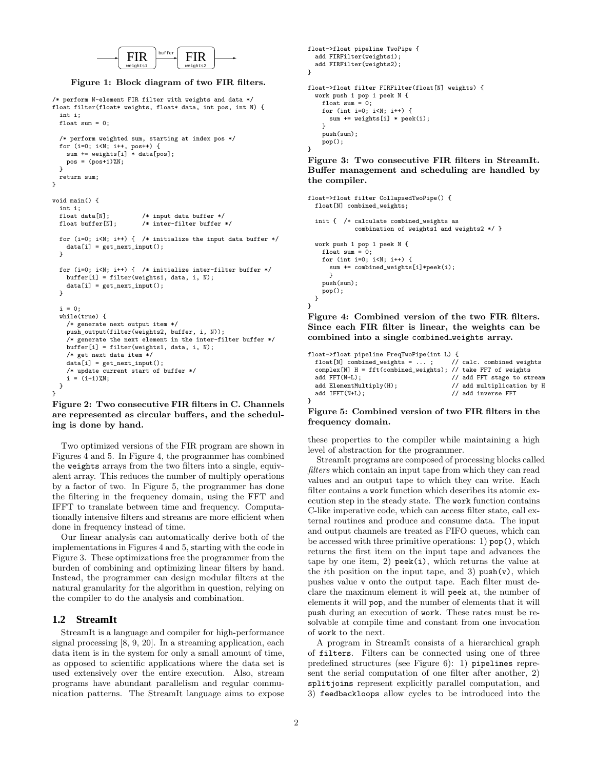

Figure 1: Block diagram of two FIR filters.

```
/* perform N-element FIR filter with weights and data */
float filter(float* weights, float* data, int pos, int N) {
  int i;
  float sum = 0:
  /* perform weighted sum, starting at index pos */
  for (i=0; i<N; i++, pos++) {
sum += weights[i] * data[pos];
    pos = (pos + 1)%N;
  }
 return sum;
}
void main() {
  int i;<br>float data[N];
 float data[N]; \quad /* input data buffer */<br>float buffer[N]; \quad /* inter-filter buffer
                           /* inter-filter buffer */for (i=0; i<N; i++) { /* initialize the input data buffer */data[i] = get_next_input();
  }
 for (i=0; i<N; i++) { /* initialize inter-filter buffer */buffer[i] = filter(weights1, data, i, N);
    data[i] = get\_next\_input();
 }
  i = 0;
  while(true) {
    /* generate next output item */
    push_output(filter(weights2, buffer, i, N));
    /* generate the next element in the inter-filter buffer */
    buffer[i] = filter(weights1, data, i, N);
    /* get next data item */
    data[i] = get_next_input();
    /* update current start of buffer */
    i = (i+1)\%N;}
}
Figure 2: Two consecutive FIR filters in C. Channels
```
# are represented as circular buffers, and the scheduling is done by hand.

Two optimized versions of the FIR program are shown in Figures 4 and 5. In Figure 4, the programmer has combined the weights arrays from the two filters into a single, equivalent array. This reduces the number of multiply operations by a factor of two. In Figure 5, the programmer has done the filtering in the frequency domain, using the FFT and IFFT to translate between time and frequency. Computationally intensive filters and streams are more efficient when done in frequency instead of time.

Our linear analysis can automatically derive both of the implementations in Figures 4 and 5, starting with the code in Figure 3. These optimizations free the programmer from the burden of combining and optimizing linear filters by hand. Instead, the programmer can design modular filters at the natural granularity for the algorithm in question, relying on the compiler to do the analysis and combination.

# **1.2 StreamIt**

StreamIt is a language and compiler for high-performance signal processing [8, 9, 20]. In a streaming application, each data item is in the system for only a small amount of time, as opposed to scientific applications where the data set is used extensively over the entire execution. Also, stream programs have abundant parallelism and regular communication patterns. The StreamIt language aims to expose

```
float->float pipeline TwoPipe {
  add FIRFilter(weights1);
 add FIRFilter(weights2);
}
float->float filter FIRFilter(float[N] weights) {
  work push 1 pop 1 peek N {
   float sum = 0;
   for (int i=0; i< N; i++) {
      sum += weights[i] * peek(i);
   }
   push(sum);
   pop();
}
```
Figure 3: Two consecutive FIR filters in StreamIt. Buffer management and scheduling are handled by the compiler.

```
float->float filter CollapsedTwoPipe() {
  float[N] combined_weights;
  init { /* calculate combined_weights as
             combination of weights<sup>1</sup> and weights2 */ }
  work push 1 pop 1 peek N {
   float sum = 0:
    for (int i=0; i<N; i++) {
      sum += combined_weights[i]*peek(i);
      }
    push(sum);
    pop();
 }
}
Figure 4: Combined version of the two FIR filters.
```
Since each FIR filter is linear, the weights can be combined into a single combined weights array.

| float->float pipeline FreqTwoPipe(int L) { |                                                                  |  |                            |  |  |  |  |
|--------------------------------------------|------------------------------------------------------------------|--|----------------------------|--|--|--|--|
|                                            | float [N] combined_weights = $\dots$ ; // calc. combined weights |  |                            |  |  |  |  |
|                                            | complex[N] $H = fft$ (combined_weights); // take FFT of weights  |  |                            |  |  |  |  |
|                                            | $add FFT(N+L);$                                                  |  | // add FFT stage to stream |  |  |  |  |
|                                            | $add$ ElementMultiply $(H)$ ;                                    |  | // add multiplication by H |  |  |  |  |
|                                            | $add IFFT(N+L):$                                                 |  | // add inverse FFT         |  |  |  |  |
|                                            |                                                                  |  |                            |  |  |  |  |
|                                            |                                                                  |  |                            |  |  |  |  |

#### Figure 5: Combined version of two FIR filters in the frequency domain.

these properties to the compiler while maintaining a high level of abstraction for the programmer.

StreamIt programs are composed of processing blocks called filters which contain an input tape from which they can read values and an output tape to which they can write. Each filter contains a work function which describes its atomic execution step in the steady state. The work function contains C-like imperative code, which can access filter state, call external routines and produce and consume data. The input and output channels are treated as FIFO queues, which can be accessed with three primitive operations: 1) pop(), which returns the first item on the input tape and advances the tape by one item, 2)  $\mathsf{peek}(i)$ , which returns the value at the *i*th position on the input tape, and 3)  $push(v)$ , which pushes value v onto the output tape. Each filter must declare the maximum element it will peek at, the number of elements it will pop, and the number of elements that it will push during an execution of work. These rates must be resolvable at compile time and constant from one invocation of work to the next.

A program in StreamIt consists of a hierarchical graph of filters. Filters can be connected using one of three predefined structures (see Figure 6): 1) pipelines represent the serial computation of one filter after another, 2) splitjoins represent explicitly parallel computation, and 3) feedbackloops allow cycles to be introduced into the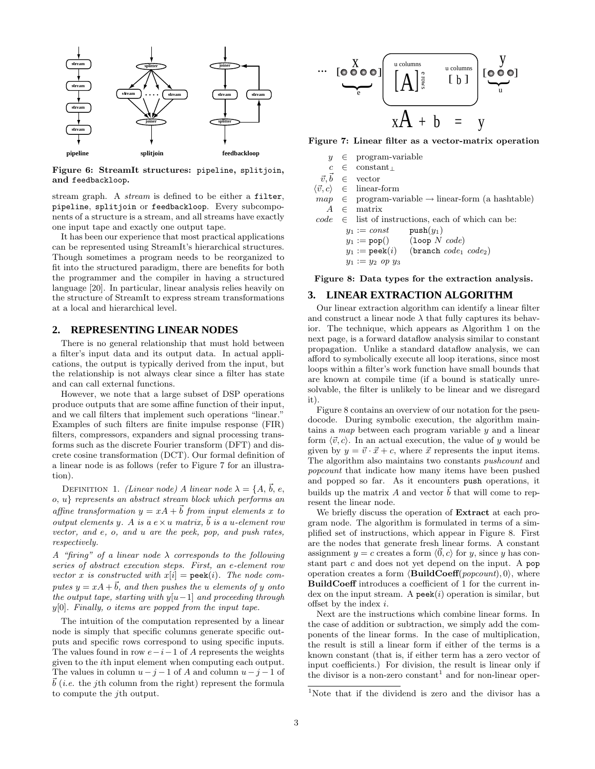

Figure 6: StreamIt structures: pipeline, splitjoin, and feedbackloop.

stream graph. A stream is defined to be either a filter, pipeline, splitjoin or feedbackloop. Every subcomponents of a structure is a stream, and all streams have exactly one input tape and exactly one output tape.

It has been our experience that most practical applications can be represented using StreamIt's hierarchical structures. Though sometimes a program needs to be reorganized to fit into the structured paradigm, there are benefits for both the programmer and the compiler in having a structured language [20]. In particular, linear analysis relies heavily on the structure of StreamIt to express stream transformations at a local and hierarchical level.

# **2. REPRESENTING LINEAR NODES**

There is no general relationship that must hold between a filter's input data and its output data. In actual applications, the output is typically derived from the input, but the relationship is not always clear since a filter has state and can call external functions.

However, we note that a large subset of DSP operations produce outputs that are some affine function of their input, and we call filters that implement such operations "linear." Examples of such filters are finite impulse response (FIR) filters, compressors, expanders and signal processing transforms such as the discrete Fourier transform (DFT) and discrete cosine transformation (DCT). Our formal definition of a linear node is as follows (refer to Figure 7 for an illustration).

DEFINITION 1. (Linear node) A linear node  $\lambda = \{A, \vec{b}, e, \}$ o, u} represents an abstract stream block which performs an affine transformation  $y = xA + \vec{b}$  from input elements x to output elements y. A is a  $e \times u$  matrix,  $\vec{b}$  is a u-element row vector, and e, o, and u are the peek, pop, and push rates, respectively.

A "firing" of a linear node  $\lambda$  corresponds to the following series of abstract execution steps. First, an e-element row vector x is constructed with  $x[i] = \text{peak}(i)$ . The node computes  $y = xA + \vec{b}$ , and then pushes the u elements of y onto the output tape, starting with  $y[u-1]$  and proceeding through  $y[0]$ . Finally, o items are popped from the input tape.

The intuition of the computation represented by a linear node is simply that specific columns generate specific outputs and specific rows correspond to using specific inputs. The values found in row  $e-i-1$  of A represents the weights given to the ith input element when computing each output. The values in column  $u - j - 1$  of A and column  $u - j - 1$  of  $\vec{b}$  (*i.e.* the j<sup>th</sup> column from the right) represent the formula to compute the jth output.

$$
\begin{array}{c}\n\cdots \begin{bmatrix} 0 & 0 & 0 \\ 0 & 0 & 0 \end{bmatrix} \begin{bmatrix} \frac{u \text{ columns}}{2} & \frac{u \text{ columns}}{2} \\ \frac{1}{2} & \frac{1}{2} \\ \frac{1}{2} & \frac{1}{2} \end{bmatrix} \begin{bmatrix} 0 & 0 \\ 0 & 0 \end{bmatrix} \\
\frac{xA + b}{y} = y\n\end{array}
$$

Figure 7: Linear filter as a vector-matrix operation

|  | $y \in program-variable$                                                       |
|--|--------------------------------------------------------------------------------|
|  | $c \in \text{constant}_{\perp}$                                                |
|  | $\vec{v}, \vec{b} \in \text{vector}$                                           |
|  | $\langle \vec{v}, c \rangle \in \text{linear-form}$                            |
|  | $map \in \text{program-variable} \rightarrow \text{linear-form (a hashtable)}$ |
|  | $A \in$ matrix                                                                 |
|  | $code \in$ list of instructions, each of which can be:                         |
|  | $y_1 := const$ push $(y_1)$                                                    |
|  | $y_1 := \text{pop}()$ (loop N code)                                            |
|  | $y_1 := \text{peak}(i)$ (branch $code_1 \ code_2)$ )                           |
|  | $y_1 := y_2$ op $y_3$                                                          |
|  |                                                                                |

Figure 8: Data types for the extraction analysis.

# **3. LINEAR EXTRACTION ALGORITHM**

Our linear extraction algorithm can identify a linear filter and construct a linear node  $\lambda$  that fully captures its behavior. The technique, which appears as Algorithm 1 on the next page, is a forward dataflow analysis similar to constant propagation. Unlike a standard dataflow analysis, we can afford to symbolically execute all loop iterations, since most loops within a filter's work function have small bounds that are known at compile time (if a bound is statically unresolvable, the filter is unlikely to be linear and we disregard it).

Figure 8 contains an overview of our notation for the pseudocode. During symbolic execution, the algorithm maintains a map between each program variable y and a linear form  $\langle \vec{v}, c \rangle$ . In an actual execution, the value of y would be given by  $y = \vec{v} \cdot \vec{x} + c$ , where  $\vec{x}$  represents the input items. The algorithm also maintains two constants pushcount and popcount that indicate how many items have been pushed and popped so far. As it encounters push operations, it builds up the matrix A and vector  $\vec{b}$  that will come to represent the linear node.

We briefly discuss the operation of **Extract** at each program node. The algorithm is formulated in terms of a simplified set of instructions, which appear in Figure 8. First are the nodes that generate fresh linear forms. A constant assignment  $y = c$  creates a form  $\langle 0, c \rangle$  for y, since y has constant part c and does not yet depend on the input. A pop operation creates a form  $\langle \mathbf{BuildCoeff}(popcount), 0 \rangle$ , where BuildCoeff introduces a coefficient of 1 for the current index on the input stream. A  $\mathsf{peek}(i)$  operation is similar, but offset by the index i.

Next are the instructions which combine linear forms. In the case of addition or subtraction, we simply add the components of the linear forms. In the case of multiplication, the result is still a linear form if either of the terms is a known constant (that is, if either term has a zero vector of input coefficients.) For division, the result is linear only if the divisor is a non-zero constant 1 and for non-linear oper-

<sup>1</sup>Note that if the dividend is zero and the divisor has a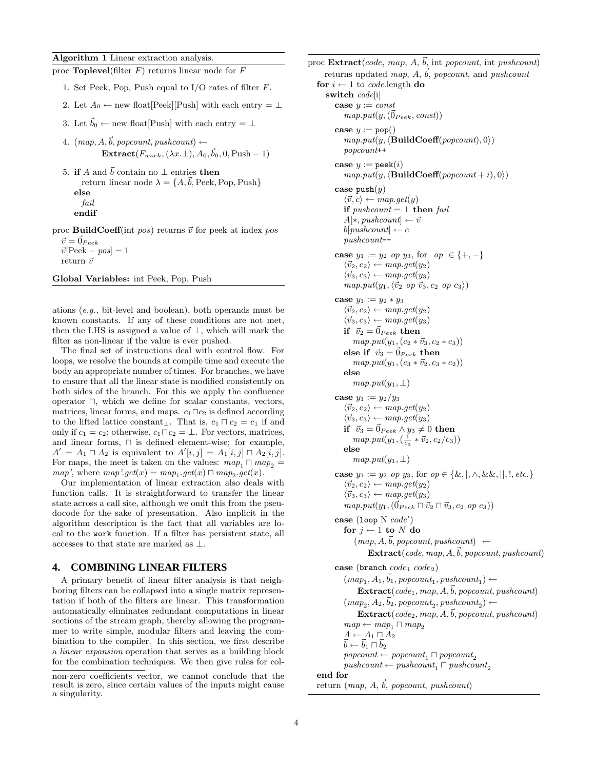Algorithm 1 Linear extraction analysis.

|  | proc <b>Toplevel</b> (filter $F$ ) returns linear node for $F$            |
|--|---------------------------------------------------------------------------|
|  | 1. Set Peek, Pop, Push equal to I/O rates of filter $F$ .                 |
|  | 2. Let $A_0 \leftarrow$ new float [Peek] [Push] with each entry $= \perp$ |

3. Let  $\vec{b}_0 \leftarrow$  new float[Push] with each entry =  $\perp$ 

4.  $(map, A, \vec{b}, popcount, pushcount) \leftarrow$  $\textbf{Extract}(F_{work},(\lambda x.\bot),A_0,\vec{b}_0,0,\text{Push}-1)$ 

5. if A and  $\vec{b}$  contain no  $\perp$  entries then return linear node  $\lambda = \{A, \vec{b}, \text{Peek}, \text{Pop}, \text{Push}\}\$ else fail endif

proc BuildCoeff(int pos) returns  $\vec{v}$  for peek at index pos  $\vec{v} = 0_{Peek}$  $\vec{v}$ [Peek – pos] = 1

```
return\vec{v}
```
Global Variables: int Peek, Pop, Push

ations (e.g., bit-level and boolean), both operands must be known constants. If any of these conditions are not met, then the LHS is assigned a value of ⊥, which will mark the filter as non-linear if the value is ever pushed.

The final set of instructions deal with control flow. For loops, we resolve the bounds at compile time and execute the body an appropriate number of times. For branches, we have to ensure that all the linear state is modified consistently on both sides of the branch. For this we apply the confluence operator  $\Box$ , which we define for scalar constants, vectors, matrices, linear forms, and maps.  $c_1 \sqcap c_2$  is defined according to the lifted lattice constant⊥. That is,  $c_1 \sqcap c_2 = c_1$  if and only if  $c_1 = c_2$ ; otherwise,  $c_1 \sqcap c_2 = \bot$ . For vectors, matrices, and linear forms,  $\sqcap$  is defined element-wise; for example,  $A' = A_1 \sqcap A_2$  is equivalent to  $A'[i,j] = A_1[i,j] \sqcap A_2[i,j].$ For maps, the meet is taken on the values:  $map_1 \sqcap map_2$  =  $map',$  where  $map'.get(x) = map_1.get(x) \sqcap map_2.get(x).$ 

Our implementation of linear extraction also deals with function calls. It is straightforward to transfer the linear state across a call site, although we omit this from the pseudocode for the sake of presentation. Also implicit in the algorithm description is the fact that all variables are local to the work function. If a filter has persistent state, all accesses to that state are marked as  $\bot.$ 

# **4. COMBINING LINEAR FILTERS**

A primary benefit of linear filter analysis is that neighboring filters can be collapsed into a single matrix representation if both of the filters are linear. This transformation automatically eliminates redundant computations in linear sections of the stream graph, thereby allowing the programmer to write simple, modular filters and leaving the combination to the compiler. In this section, we first describe a linear expansion operation that serves as a building block for the combination techniques. We then give rules for col-

```
proc \text{Extract}(code, map, A, \vec{b}), int popcount, int pushcount)
      returns updated map, A, \vec{b}, popcount, and pushcount
   for i \leftarrow 1 to code.length do
      switch code[i]
          case y := constmap.put(y,(\vec{0}_{Peek}, const))case y := \text{pop}()map.put(y, \langle \mathbf{BuildCoeff}(popcount), 0 \rangle)popcount++
          case y := \text{peak}(i)map.put(y, \langle \mathbf{BuildCoeff}(popcount + i), 0 \rangle)case push(y)\langle \vec{v}, c \rangle \leftarrow map.get(y)if \textit{pushcount} = \bot then \textit{fail}A[*, pushcount] \leftarrow \vec{v}b[pushcount] \leftarrow cpushcount--
          case y_1 := y_2 op y_3, for op \in \{+, -\}\langle \vec{v}_2, c_2 \rangle \leftarrow map.get(y_2)\langle \vec{v}_3, c_3 \rangle \leftarrow map.get(y_3)map.put(y_1,\langle \vec{v}_2 \text{ op } \vec{v}_3, c_2 \text{ op } c_3 \rangle)case y_1 := y_2 * y_3\langle \vec{v}_2, c_2 \rangle \leftarrow map.get(y_2)\langle \vec{v}_3, c_3 \rangle \leftarrow map.get(y_3)if \vec{v}_2 = \vec{0}_{Peek} then
                 map.put(y_1,(c_2 * \vec{v}_3, c_2 * c_3))else if \vec{v}_3 = \vec{0}_{Peek} then
                 map.put(y_1,(c_3 * \vec{v}_2, c_3 * c_2))else
                 map.put(y_1, \perp)case y_1 := y_2/y_3\langle \vec{v}_2, c_2 \rangle \leftarrow map.get(y_2)\langle \vec{v}_3, c_3 \rangle \leftarrow map.get(y_3)if ~\vec{v}_3 = \vec{0}_{Peek} \wedge y_3 \neq 0 ~{\rm then}map.put(y_1, (\frac{1}{c_3} * \vec{v}_2, c_2/c_3))else
                 map.put(y_1, \perp)case y_1 := y_2 op y_3, for op \in \{ \&, |, \wedge, \&\&, |, \wedge, \text{etc.} \}\langle \vec{v}_2, c_2 \rangle \leftarrow map.get(y_2)\langle \vec{v}_3, c_3 \rangle \leftarrow map.get(y_3)map.put(y_1,(\vec{0}_{Peek} \sqcap \vec{v}_2 \sqcap \vec{v}_3, c_2 ~op c_3))case (loop N code')for j \leftarrow 1 to N do
                  (map, A, \vec{b}, popcount, pushcount) \leftarrow\text{Extract}(code, map, A, \vec{b}, popcount, pushcount)case (branch code_1 code_2))
              (map_1, A_1, \vec{b}_1, popcount_1, pushcount_1) \leftarrow\text{Extract}(code_1, map, A, \vec{b}, proportion, pushcount)(map_2, A_2, \vec{b}_2, popcount_2, pushcount_2) \leftarrow\text{Extract}(\text{code}_2, \text{map}, A, \vec{b}, \text{popcount}, \text{pushcount})map \leftarrow map_1 \sqcap map_2A \leftarrow A_1 \sqcap A_2\vec{b} \leftarrow \vec{b}_1 \sqcap \vec{b}_2proport \leftarrow popcount_1 \sqcap popcount_2pushcount \leftarrow pushcount_1 \sqcap pushcount_2end for
   return (map, A, \vec{b}, popcount, pushcount)
```
non-zero coefficients vector, we cannot conclude that the result is zero, since certain values of the inputs might cause a singularity.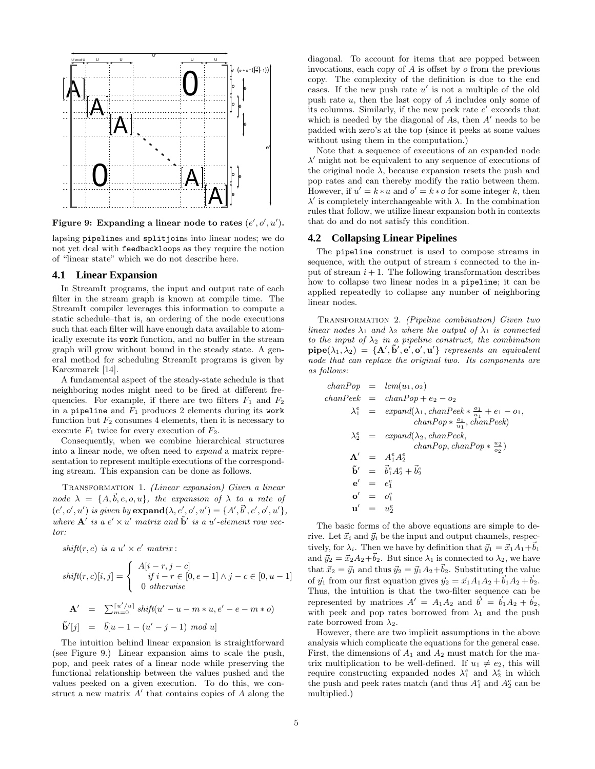

Figure 9: Expanding a linear node to rates  $(e', o', u')$ .

lapsing pipelines and splitjoins into linear nodes; we do not yet deal with feedbackloops as they require the notion of "linear state" which we do not describe here.

#### **4.1 Linear Expansion**

In StreamIt programs, the input and output rate of each filter in the stream graph is known at compile time. The StreamIt compiler leverages this information to compute a static schedule–that is, an ordering of the node executions such that each filter will have enough data available to atomically execute its work function, and no buffer in the stream graph will grow without bound in the steady state. A general method for scheduling StreamIt programs is given by Karczmarek [14].

A fundamental aspect of the steady-state schedule is that neighboring nodes might need to be fired at different frequencies. For example, if there are two filters  $F_1$  and  $F_2$ in a pipeline and  $F_1$  produces 2 elements during its work function but  $F_2$  consumes 4 elements, then it is necessary to execute  $F_1$  twice for every execution of  $F_2$ .

Consequently, when we combine hierarchical structures into a linear node, we often need to expand a matrix representation to represent multiple executions of the corresponding stream. This expansion can be done as follows.

TRANSFORMATION 1. (Linear expansion) Given a linear node  $\lambda = \{A, \vec{b}, e, o, u\}$ , the expansion of  $\lambda$  to a rate of  $(e', o', u')$  is given by  $\mathbf{expand}(\lambda, e', o', u') = \{A', \vec{b}', e', o', u'\},$ where  $\mathbf{A}'$  is a  $e' \times u'$  matrix and  $\tilde{\mathbf{b}}'$  is a u'-element row vector:

 $shift(r, c)$  is a  $u' \times e'$  matrix:

$$
shift(r, c)[i, j] = \begin{cases} A[i - r, j - c] \\ if i - r \in [0, e - 1] \land j - c \in [0, u - 1] \\ 0 \text{ otherwise} \end{cases}
$$

$$
\mathbf{A'} = \sum_{m=0}^{\lceil u'/u \rceil} shift(u' - u - m * u, e' - e - m * o)
$$

$$
\mathbf{\tilde{b}'}[j] = \mathbf{\tilde{b}}[u - 1 - (u' - j - 1) \mod u]
$$

The intuition behind linear expansion is straightforward (see Figure 9.) Linear expansion aims to scale the push, pop, and peek rates of a linear node while preserving the functional relationship between the values pushed and the values peeked on a given execution. To do this, we construct a new matrix  $A'$  that contains copies of  $A$  along the

diagonal. To account for items that are popped between invocations, each copy of  $A$  is offset by  $o$  from the previous copy. The complexity of the definition is due to the end cases. If the new push rate  $u'$  is not a multiple of the old push rate  $u$ , then the last copy of  $A$  includes only some of its columns. Similarly, if the new peek rate  $e'$  exceeds that which is needed by the diagonal of As, then  $A'$  needs to be padded with zero's at the top (since it peeks at some values without using them in the computation.)

Note that a sequence of executions of an expanded node  $\lambda'$  might not be equivalent to any sequence of executions of the original node  $\lambda$ , because expansion resets the push and pop rates and can thereby modify the ratio between them. However, if  $u' = k * u$  and  $o' = k * o$  for some integer k, then  $\lambda'$  is completely interchangeable with  $\lambda$ . In the combination rules that follow, we utilize linear expansion both in contexts that do and do not satisfy this condition.

#### **4.2 Collapsing Linear Pipelines**

The pipeline construct is used to compose streams in sequence, with the output of stream  $i$  connected to the input of stream  $i + 1$ . The following transformation describes how to collapse two linear nodes in a pipeline; it can be applied repeatedly to collapse any number of neighboring linear nodes.

Transformation 2. (Pipeline combination) Given two linear nodes  $\lambda_1$  and  $\lambda_2$  where the output of  $\lambda_1$  is connected to the input of  $\lambda_2$  in a pipeline construct, the combination  $\mathbf{pipe}(\lambda_1, \lambda_2) = \{ \mathbf{A}', \mathbf{\tilde{b}}', \mathbf{e}', \mathbf{o}', \mathbf{u}' \}$  represents an equivalent node that can replace the original two. Its components are as follows:

$$
chanPop = lcm(u_1, o_2)
$$
  
\n
$$
chanPeek = chanPop + e_2 - o_2
$$
  
\n
$$
\lambda_1^e = expand(\lambda_1, chanPeek * \frac{o_1}{u_1} + e_1 - o_1, chanPope)
$$
  
\n
$$
\lambda_2^e = expand(\lambda_2, chanPeek, chanPop, chanPop * \frac{u_2}{o_2})
$$
  
\n
$$
A' = A_1^e A_2^e
$$
  
\n
$$
\tilde{b}' = \tilde{b}_1^e A_2^e + \tilde{b}_2^e
$$
  
\n
$$
e' = e_1^e
$$
  
\n
$$
o' = o_1^e
$$
  
\n
$$
u' = u_2^e
$$

The basic forms of the above equations are simple to derive. Let  $\vec{x}_i$  and  $\vec{y}_i$  be the input and output channels, respectively, for  $\lambda_i$ . Then we have by definition that  $\vec{y}_1 = \vec{x}_1A_1+\vec{b}_1$ and  $\vec{y}_2 = \vec{x}_2 A_2 + \vec{b}_2$ . But since  $\lambda_1$  is connected to  $\lambda_2$ , we have that  $\vec{x}_2 = \vec{y}_1$  and thus  $\vec{y}_2 = \vec{y}_1 A_2 + \vec{b}_2$ . Substituting the value of  $\vec{y}_1$  from our first equation gives  $\vec{y}_2 = \vec{x}_1A_1A_2 + \vec{b}_1A_2 + \vec{b}_2$ . Thus, the intuition is that the two-filter sequence can be represented by matrices  $A' = A_1 A_2$  and  $\vec{b}' = \vec{b}_1 A_2 + \vec{b}_2$ , with peek and pop rates borrowed from  $\lambda_1$  and the push rate borrowed from  $\lambda_2$ .

However, there are two implicit assumptions in the above analysis which complicate the equations for the general case. First, the dimensions of  $A_1$  and  $A_2$  must match for the matrix multiplication to be well-defined. If  $u_1 \neq e_2$ , this will require constructing expanded nodes  $\lambda_1^e$  and  $\lambda_2^e$  in which the push and peek rates match (and thus  $A_1^e$  and  $A_2^e$  can be multiplied.)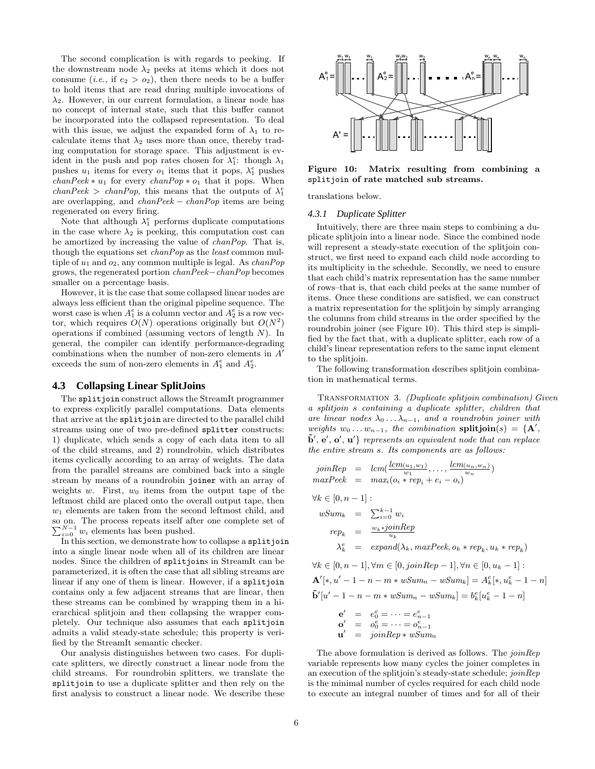The second complication is with regards to peeking. If the downstream node  $\lambda_2$  peeks at items which it does not consume (*i.e.*, if  $e_2 > o_2$ ), then there needs to be a buffer to hold items that are read during multiple invocations of  $\lambda_2$ . However, in our current formulation, a linear node has no concept of internal state, such that this buffer cannot be incorporated into the collapsed representation. To deal with this issue, we adjust the expanded form of  $\lambda_1$  to recalculate items that  $\lambda_2$  uses more than once, thereby trading computation for storage space. This adjustment is evident in the push and pop rates chosen for  $\lambda_1^e$ : though  $\lambda_1$ pushes  $u_1$  items for every  $o_1$  items that it pops,  $\lambda_1^e$  pushes  $chanPeek * u_1$  for every  $chanPop * o_1$  that it pops. When  $\text{chanPeek} > \text{chanPop}$ , this means that the outputs of  $\lambda_1^e$ are overlapping, and chanPeek − chanPop items are being regenerated on every firing.

Note that although  $\lambda_1^e$  performs duplicate computations in the case where  $\lambda_2$  is peeking, this computation cost can be amortized by increasing the value of chanPop. That is, though the equations set chanPop as the least common multiple of  $u_1$  and  $o_2$ , any common multiple is legal. As *chanPop* grows, the regenerated portion chanPeek−chanPop becomes smaller on a percentage basis.

However, it is the case that some collapsed linear nodes are always less efficient than the original pipeline sequence. The worst case is when  $A_1^e$  is a column vector and  $A_2^e$  is a row vector, which requires  $O(N)$  operations originally but  $O(N^2)$ operations if combined (assuming vectors of length  $N$ ). In general, the compiler can identify performance-degrading combinations when the number of non-zero elements in  $A'$ exceeds the sum of non-zero elements in  $A_1^e$  and  $A_2^e$ .

#### **4.3 Collapsing Linear SplitJoins**

The splitjoin construct allows the StreamIt programmer to express explicitly parallel computations. Data elements that arrive at the splitjoin are directed to the parallel child streams using one of two pre-defined splitter constructs: 1) duplicate, which sends a copy of each data item to all of the child streams, and 2) roundrobin, which distributes items cyclically according to an array of weights. The data from the parallel streams are combined back into a single stream by means of a roundrobin joiner with an array of weights  $w$ . First,  $w_0$  items from the output tape of the leftmost child are placed onto the overall output tape, then  $w_1$  elements are taken from the second leftmost child, and so on. The process repeats itself after one complete set of so on. The process repeats itself after one complete set of  $\sum_{i=0}^{N-1} w_i$  elements has been pushed.

In this section, we demonstrate how to collapse a splitjoin into a single linear node when all of its children are linear nodes. Since the children of splitjoins in StreamIt can be parameterized, it is often the case that all sibling streams are linear if any one of them is linear. However, if a splitjoin contains only a few adjacent streams that are linear, then these streams can be combined by wrapping them in a hierarchical splitjoin and then collapsing the wrapper completely. Our technique also assumes that each splitjoin admits a valid steady-state schedule; this property is verified by the StreamIt semantic checker.

Our analysis distinguishes between two cases. For duplicate splitters, we directly construct a linear node from the child streams. For roundrobin splitters, we translate the splitjoin to use a duplicate splitter and then rely on the first analysis to construct a linear node. We describe these



Figure 10: Matrix resulting from combining a splitjoin of rate matched sub streams.

translations below.

#### *4.3.1 Duplicate Splitter*

Intuitively, there are three main steps to combining a duplicate splitjoin into a linear node. Since the combined node will represent a steady-state execution of the splitjoin construct, we first need to expand each child node according to its multiplicity in the schedule. Secondly, we need to ensure that each child's matrix representation has the same number of rows–that is, that each child peeks at the same number of items. Once these conditions are satisfied, we can construct a matrix representation for the splitjoin by simply arranging the columns from child streams in the order specified by the roundrobin joiner (see Figure 10). This third step is simplified by the fact that, with a duplicate splitter, each row of a child's linear representation refers to the same input element to the splitjoin.

The following transformation describes splitjoin combination in mathematical terms.

TRANSFORMATION 3. (Duplicate splitioin combination) Given a splitjoin s containing a duplicate splitter, children that are linear nodes  $\lambda_0 \ldots \lambda_{n-1}$ , and a roundrobin joiner with weights  $w_0 \ldots w_{n-1}$ , the combination splitjoin(s) = {A',  $\tilde{\mathbf{b}}', \mathbf{e}', \mathbf{o}', \mathbf{u}'$  represents an equivalent node that can replace the entire stream s. Its components are as follows:

$$
joinRep = lcm(\frac{lcm(u_1, w_1)}{w_1}, \dots, \frac{lcm(u_n, w_n)}{w_n})
$$

$$
maxPeek = max_i(o_i * rep_i + e_i - o_i)
$$

$$
\forall k \in [0, n-1]:
$$
  
\n
$$
wSum_k = \sum_{i=0}^{k-1} w_i
$$
  
\n
$$
rep_k = \frac{w_k * joinRep}{u_k}
$$
  
\n
$$
\lambda_k^e = expand(\lambda_k, maxPeek, o_k * rep_k, u_k * rep_k)
$$

$$
\forall k \in [0, n-1], \forall m \in [0, joinRep - 1], \forall n \in [0, u_k - 1]:
$$
  
\n
$$
\mathbf{A}'[*, u' - 1 - n - m * wSum_n - wSum_k] = A_k^e[*, u_k^e - 1 - n]
$$
  
\n
$$
\mathbf{\tilde{b}'}[u' - 1 - n - m * wSum_n - wSum_k] = b_k^e[u_k^e - 1 - n]
$$
  
\n
$$
\mathbf{e'} = e_0^e = \dots = e_{n-1}^e
$$
  
\n
$$
\mathbf{o'} = o_0^e = \dots = o_{n-1}^e
$$
  
\n
$$
\mathbf{u'} = joinRep * wSum_n
$$

The above formulation is derived as follows. The *joinRep* variable represents how many cycles the joiner completes in an execution of the splitjoin's steady-state schedule; joinRep is the minimal number of cycles required for each child node to execute an integral number of times and for all of their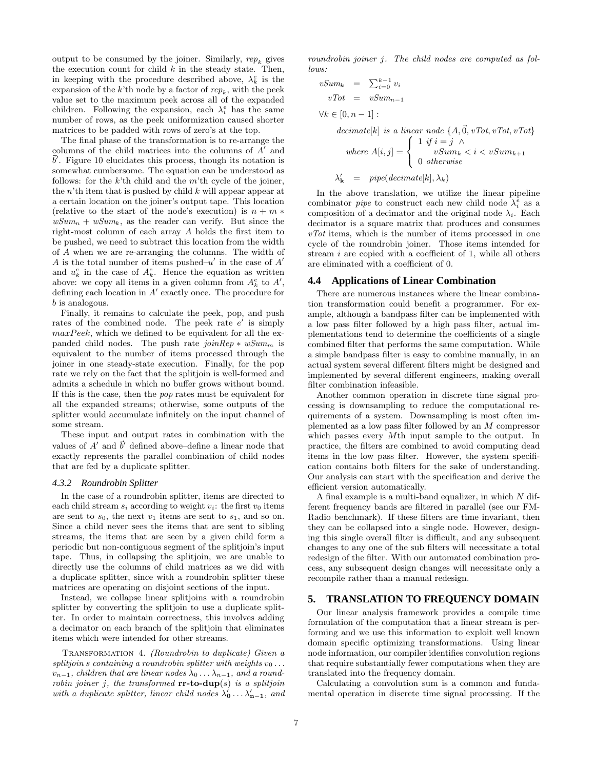output to be consumed by the joiner. Similarly,  $rep_k$  gives the execution count for child  $k$  in the steady state. Then, in keeping with the procedure described above,  $\lambda_k^e$  is the expansion of the  $k$ 'th node by a factor of  $rep_k$ , with the peek value set to the maximum peek across all of the expanded children. Following the expansion, each  $\lambda_i^e$  has the same number of rows, as the peek uniformization caused shorter matrices to be padded with rows of zero's at the top.

The final phase of the transformation is to re-arrange the columns of the child matrices into the columns of  $A'$  and  $\vec{b}'$ . Figure 10 elucidates this process, though its notation is somewhat cumbersome. The equation can be understood as follows: for the  $k$ 'th child and the  $m$ 'th cycle of the joiner, the  $n<sup>th</sup>$  item that is pushed by child k will appear appear at a certain location on the joiner's output tape. This location (relative to the start of the node's execution) is  $n + m *$  $wSum_n + wSum_k$ , as the reader can verify. But since the right-most column of each array A holds the first item to be pushed, we need to subtract this location from the width of A when we are re-arranging the columns. The width of A is the total number of items pushed– $u'$  in the case of  $A'$ and  $u_k^e$  in the case of  $A_k^e$ . Hence the equation as written above: we copy all items in a given column from  $A_k^e$  to  $A'$ , defining each location in  $A'$  exactly once. The procedure for b is analogous.

Finally, it remains to calculate the peek, pop, and push rates of the combined node. The peek rate  $e'$  is simply  $maxPeek$ , which we defined to be equivalent for all the expanded child nodes. The push rate  $\overline{joinRep * wSum_m}$  is equivalent to the number of items processed through the joiner in one steady-state execution. Finally, for the pop rate we rely on the fact that the splitjoin is well-formed and admits a schedule in which no buffer grows without bound. If this is the case, then the pop rates must be equivalent for all the expanded streams; otherwise, some outputs of the splitter would accumulate infinitely on the input channel of some stream.

These input and output rates–in combination with the values of  $A'$  and  $\vec{b}'$  defined above–define a linear node that exactly represents the parallel combination of child nodes that are fed by a duplicate splitter.

#### *4.3.2 Roundrobin Splitter*

In the case of a roundrobin splitter, items are directed to each child stream  $s_i$  according to weight  $v_i$ : the first  $v_0$  items are sent to  $s_0$ , the next  $v_1$  items are sent to  $s_1$ , and so on. Since a child never sees the items that are sent to sibling streams, the items that are seen by a given child form a periodic but non-contiguous segment of the splitjoin's input tape. Thus, in collapsing the splitjoin, we are unable to directly use the columns of child matrices as we did with a duplicate splitter, since with a roundrobin splitter these matrices are operating on disjoint sections of the input.

Instead, we collapse linear splitjoins with a roundrobin splitter by converting the splittion to use a duplicate splitter. In order to maintain correctness, this involves adding a decimator on each branch of the splitjoin that eliminates items which were intended for other streams.

TRANSFORMATION 4. (Roundrobin to duplicate) Given a splitjoin s containing a roundrobin splitter with weights  $v_0 \ldots$  $v_{n-1}$ , children that are linear nodes  $\lambda_0 \ldots \lambda_{n-1}$ , and a roundrobin joiner j, the transformed  $rr-to-dup(s)$  is a splitjoin with a duplicate splitter, linear child nodes  $\lambda'_0 \ldots \lambda'_{n-1}$ , and

roundrobin joiner j. The child nodes are computed as follows:

$$
vSum_k = \sum_{i=0}^{k-1} v_i
$$

$$
vTot = vSum_{n-1}
$$

 $\forall k \in [0, n-1]$ :

 $decimate[k]$  is a linear node  $\{A, \vec{0}, vTot, vTot, vTot\}$ where  $A[i, j] =$  $\sqrt{ }$  $\int 1 \text{ if } i = j \wedge$  $vSum_k < i < vSum_{k+1}$ 

$$
\lambda'_{\mathbf{k}} = pipe(decimate[k], \lambda_k)
$$

In the above translation, we utilize the linear pipeline combinator *pipe* to construct each new child node  $\lambda_i^e$  as a composition of a decimator and the original node  $\lambda_i$ . Each decimator is a square matrix that produces and consumes  $vTot$  items, which is the number of items processed in one cycle of the roundrobin joiner. Those items intended for stream i are copied with a coefficient of 1, while all others are eliminated with a coefficient of 0.

#### **4.4 Applications of Linear Combination**

There are numerous instances where the linear combination transformation could benefit a programmer. For example, although a bandpass filter can be implemented with a low pass filter followed by a high pass filter, actual implementations tend to determine the coefficients of a single combined filter that performs the same computation. While a simple bandpass filter is easy to combine manually, in an actual system several different filters might be designed and implemented by several different engineers, making overall filter combination infeasible.

Another common operation in discrete time signal processing is downsampling to reduce the computational requirements of a system. Downsampling is most often implemented as a low pass filter followed by an M compressor which passes every Mth input sample to the output. In practice, the filters are combined to avoid computing dead items in the low pass filter. However, the system specification contains both filters for the sake of understanding. Our analysis can start with the specification and derive the efficient version automatically.

A final example is a multi-band equalizer, in which  $N$  different frequency bands are filtered in parallel (see our FM-Radio benchmark). If these filters are time invariant, then they can be collapsed into a single node. However, designing this single overall filter is difficult, and any subsequent changes to any one of the sub filters will necessitate a total redesign of the filter. With our automated combination process, any subsequent design changes will necessitate only a recompile rather than a manual redesign.

### **5. TRANSLATION TO FREQUENCY DOMAIN**

Our linear analysis framework provides a compile time formulation of the computation that a linear stream is performing and we use this information to exploit well known domain specific optimizing transformations. Using linear node information, our compiler identifies convolution regions that require substantially fewer computations when they are translated into the frequency domain.

Calculating a convolution sum is a common and fundamental operation in discrete time signal processing. If the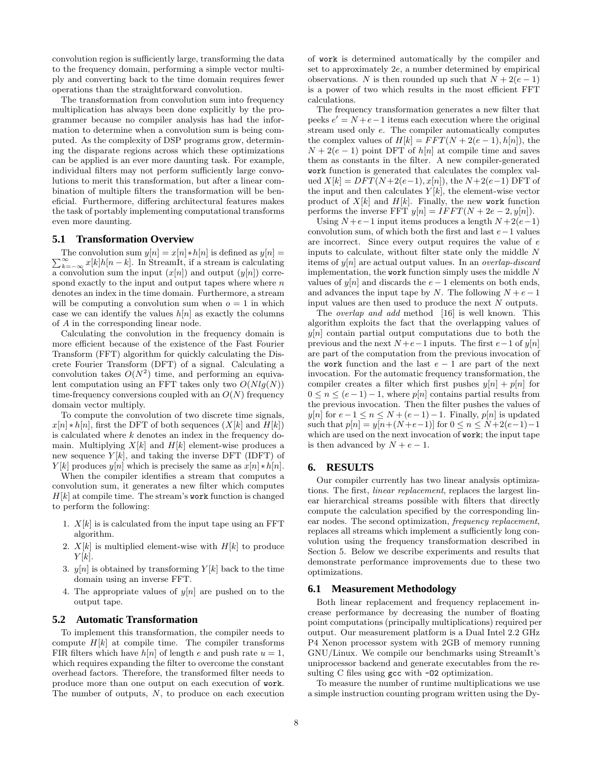convolution region is sufficiently large, transforming the data to the frequency domain, performing a simple vector multiply and converting back to the time domain requires fewer operations than the straightforward convolution.

The transformation from convolution sum into frequency multiplication has always been done explicitly by the programmer because no compiler analysis has had the information to determine when a convolution sum is being computed. As the complexity of DSP programs grow, determining the disparate regions across which these optimizations can be applied is an ever more daunting task. For example, individual filters may not perform sufficiently large convolutions to merit this transformation, but after a linear combination of multiple filters the transformation will be beneficial. Furthermore, differing architectural features makes the task of portably implementing computational transforms even more daunting.

# **5.1 Transformation Overview**

 $\sum_{k=-\infty}^{\infty} x[k]h[n-k]$ . In StreamIt, if a stream is calculating The convolution sum  $y[n] = x[n] * h[n]$  is defined as  $y[n] =$ a convolution sum the input  $(x[n])$  and output  $(y[n])$  correspond exactly to the input and output tapes where where  $n$ denotes an index in the time domain. Furthermore, a stream will be computing a convolution sum when  $o = 1$  in which case we can identify the values  $h[n]$  as exactly the columns of A in the corresponding linear node.

Calculating the convolution in the frequency domain is more efficient because of the existence of the Fast Fourier Transform (FFT) algorithm for quickly calculating the Discrete Fourier Transform (DFT) of a signal. Calculating a convolution takes  $O(N^2)$  time, and performing an equivalent computation using an FFT takes only two  $O(Nlq(N))$ time-frequency conversions coupled with an  $O(N)$  frequency domain vector multiply.

To compute the convolution of two discrete time signals,  $x[n] * h[n]$ , first the DFT of both sequences  $(X[k]$  and  $H[k])$ is calculated where k denotes an index in the frequency domain. Multiplying  $X[k]$  and  $H[k]$  element-wise produces a new sequence  $Y[k]$ , and taking the inverse DFT (IDFT) of  $Y[k]$  produces  $y[n]$  which is precisely the same as  $x[n] * h[n]$ .

When the compiler identifies a stream that computes a convolution sum, it generates a new filter which computes  $H[k]$  at compile time. The stream's work function is changed to perform the following:

- 1.  $X[k]$  is is calculated from the input tape using an FFT algorithm.
- 2.  $X[k]$  is multiplied element-wise with  $H[k]$  to produce  $Y[k]$ .
- 3.  $y[n]$  is obtained by transforming  $Y[k]$  back to the time domain using an inverse FFT.
- 4. The appropriate values of  $y[n]$  are pushed on to the output tape.

#### **5.2 Automatic Transformation**

To implement this transformation, the compiler needs to compute  $H[k]$  at compile time. The compiler transforms FIR filters which have  $h[n]$  of length e and push rate  $u = 1$ , which requires expanding the filter to overcome the constant overhead factors. Therefore, the transformed filter needs to produce more than one output on each execution of work. The number of outputs,  $N$ , to produce on each execution of work is determined automatically by the compiler and set to approximately 2e, a number determined by empirical observations. N is then rounded up such that  $N + 2(e - 1)$ is a power of two which results in the most efficient FFT calculations.

The frequency transformation generates a new filter that peeks  $e' = N + e - 1$  items each execution where the original stream used only e. The compiler automatically computes the complex values of  $H[k] = FFT(N + 2(e-1), h[n])$ , the  $N + 2(e - 1)$  point DFT of  $h[n]$  at compile time and saves them as constants in the filter. A new compiler-generated work function is generated that calculates the complex valued  $X[k] = DFT(N+2(e-1), x[n])$ , the  $N+2(e-1)$  DFT of the input and then calculates  $Y[k]$ , the element-wise vector product of  $X[k]$  and  $H[k]$ . Finally, the new work function performs the inverse FFT  $y[n] = IFFT(N + 2e - 2, y[n])$ .

Using  $N + e - 1$  input items produces a length  $N + 2(e - 1)$ convolution sum, of which both the first and last  $e-1$  values are incorrect. Since every output requires the value of e inputs to calculate, without filter state only the middle N items of  $y[n]$  are actual output values. In an *overlap-discard* implementation, the work function simply uses the middle  $N$ values of  $y[n]$  and discards the  $e-1$  elements on both ends, and advances the input tape by N. The following  $N + e - 1$ input values are then used to produce the next N outputs.

The *overlap and add* method [16] is well known. This algorithm exploits the fact that the overlapping values of  $y[n]$  contain partial output computations due to both the previous and the next  $N + e - 1$  inputs. The first  $e - 1$  of  $y[n]$ are part of the computation from the previous invocation of the work function and the last  $e - 1$  are part of the next invocation. For the automatic frequency transformation, the compiler creates a filter which first pushes  $y[n] + p[n]$  for  $0 \leq n \leq (e-1)-1$ , where  $p[n]$  contains partial results from the previous invocation. Then the filter pushes the values of y[n] for  $e-1 \le n \le N+(e-1)-1$ . Finally, p[n] is updated such that  $p[n] = y[n+(N+e-1)]$  for  $0 \le n \le N+2(e-1)-1$ which are used on the next invocation of **work**; the input tape is then advanced by  $N + e - 1$ .

#### **6. RESULTS**

Our compiler currently has two linear analysis optimizations. The first, linear replacement, replaces the largest linear hierarchical streams possible with filters that directly compute the calculation specified by the corresponding linear nodes. The second optimization, frequency replacement, replaces all streams which implement a sufficiently long convolution using the frequency transformation described in Section 5. Below we describe experiments and results that demonstrate performance improvements due to these two optimizations.

#### **6.1 Measurement Methodology**

Both linear replacement and frequency replacement increase performance by decreasing the number of floating point computations (principally multiplications) required per output. Our measurement platform is a Dual Intel 2.2 GHz P4 Xenon processor system with 2GB of memory running GNU/Linux. We compile our benchmarks using StreamIt's uniprocessor backend and generate executables from the resulting C files using gcc with -02 optimization.

To measure the number of runtime multiplications we use a simple instruction counting program written using the Dy-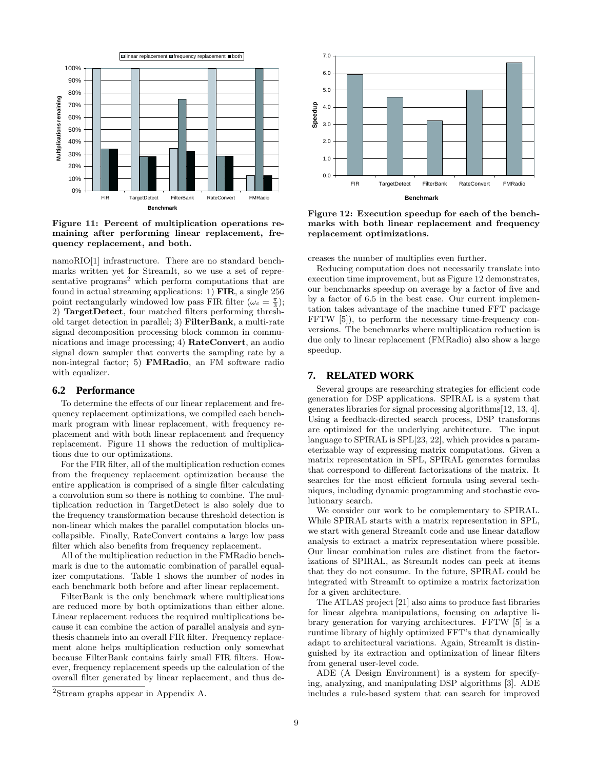

Figure 11: Percent of multiplication operations remaining after performing linear replacement, frequency replacement, and both.

namoRIO[1] infrastructure. There are no standard benchmarks written yet for StreamIt, so we use a set of representative programs<sup>2</sup> which perform computations that are found in actual streaming applications: 1) FIR, a single 256 point rectangularly windowed low pass FIR filter  $(\omega_c = \frac{\pi}{3})$ ; 2) TargetDetect, four matched filters performing threshold target detection in parallel; 3) FilterBank, a multi-rate signal decomposition processing block common in communications and image processing; 4) RateConvert, an audio signal down sampler that converts the sampling rate by a non-integral factor; 5) FMRadio, an FM software radio with equalizer.

#### **6.2 Performance**

To determine the effects of our linear replacement and frequency replacement optimizations, we compiled each benchmark program with linear replacement, with frequency replacement and with both linear replacement and frequency replacement. Figure 11 shows the reduction of multiplications due to our optimizations.

For the FIR filter, all of the multiplication reduction comes from the frequency replacement optimization because the entire application is comprised of a single filter calculating a convolution sum so there is nothing to combine. The multiplication reduction in TargetDetect is also solely due to the frequency transformation because threshold detection is non-linear which makes the parallel computation blocks uncollapsible. Finally, RateConvert contains a large low pass filter which also benefits from frequency replacement.

All of the multiplication reduction in the FMRadio benchmark is due to the automatic combination of parallel equalizer computations. Table 1 shows the number of nodes in each benchmark both before and after linear replacement.

FilterBank is the only benchmark where multiplications are reduced more by both optimizations than either alone. Linear replacement reduces the required multiplications because it can combine the action of parallel analysis and synthesis channels into an overall FIR filter. Frequency replacement alone helps multiplication reduction only somewhat because FilterBank contains fairly small FIR filters. However, frequency replacement speeds up the calculation of the overall filter generated by linear replacement, and thus de-



Figure 12: Execution speedup for each of the benchmarks with both linear replacement and frequency replacement optimizations.

creases the number of multiplies even further.

Reducing computation does not necessarily translate into execution time improvement, but as Figure 12 demonstrates, our benchmarks speedup on average by a factor of five and by a factor of 6.5 in the best case. Our current implementation takes advantage of the machine tuned FFT package FFTW [5]), to perform the necessary time-frequency conversions. The benchmarks where multiplication reduction is due only to linear replacement (FMRadio) also show a large speedup.

# **7. RELATED WORK**

Several groups are researching strategies for efficient code generation for DSP applications. SPIRAL is a system that generates libraries for signal processing algorithms[12, 13, 4]. Using a feedback-directed search process, DSP transforms are optimized for the underlying architecture. The input language to SPIRAL is SPL[23, 22], which provides a parameterizable way of expressing matrix computations. Given a matrix representation in SPL, SPIRAL generates formulas that correspond to different factorizations of the matrix. It searches for the most efficient formula using several techniques, including dynamic programming and stochastic evolutionary search.

We consider our work to be complementary to SPIRAL. While SPIRAL starts with a matrix representation in SPL, we start with general StreamIt code and use linear dataflow analysis to extract a matrix representation where possible. Our linear combination rules are distinct from the factorizations of SPIRAL, as StreamIt nodes can peek at items that they do not consume. In the future, SPIRAL could be integrated with StreamIt to optimize a matrix factorization for a given architecture.

The ATLAS project [21] also aims to produce fast libraries for linear algebra manipulations, focusing on adaptive library generation for varying architectures. FFTW [5] is a runtime library of highly optimized FFT's that dynamically adapt to architectural variations. Again, StreamIt is distinguished by its extraction and optimization of linear filters from general user-level code.

ADE (A Design Environment) is a system for specifying, analyzing, and manipulating DSP algorithms [3]. ADE includes a rule-based system that can search for improved

<sup>2</sup>Stream graphs appear in Appendix A.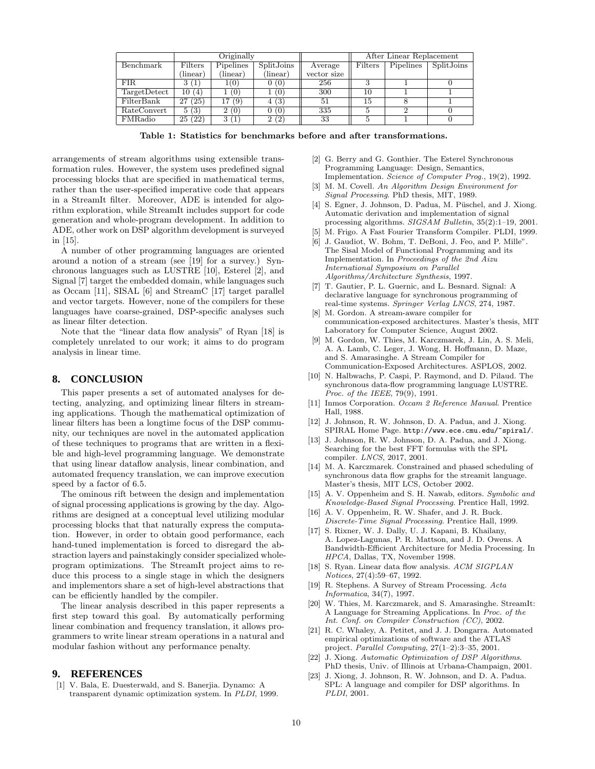|               | Originally          |                   |                   |             | After Linear Replacement |           |            |
|---------------|---------------------|-------------------|-------------------|-------------|--------------------------|-----------|------------|
| Benchmark     | Filters             | Pipelines         | SplitJoins        | Average     | Filters                  | Pipelines | SplitJoins |
|               | (linear)            | (linear)          | $(\text{linear})$ | vector size |                          |           |            |
| FIR.          | Ί.                  | (0)               | 0)                | 256         |                          |           |            |
| Target Detect | 10.<br>(4)          | $\left( 0\right)$ | (0)               | 300         | 10                       |           |            |
| FilterBank    | $^{\prime}25$<br>27 | 69                | (3)               | 51          | 15                       |           |            |
| RateConvert   | 5(3)                | (0)<br>ച          | (0)               | 335         |                          |           |            |
| FMRadio       | (22)<br>25          |                   | (2`<br>ച          | 33          |                          |           |            |

Table 1: Statistics for benchmarks before and after transformations.

arrangements of stream algorithms using extensible transformation rules. However, the system uses predefined signal processing blocks that are specified in mathematical terms, rather than the user-specified imperative code that appears in a StreamIt filter. Moreover, ADE is intended for algorithm exploration, while StreamIt includes support for code generation and whole-program development. In addition to ADE, other work on DSP algorithm development is surveyed in [15].

A number of other programming languages are oriented around a notion of a stream (see [19] for a survey.) Synchronous languages such as LUSTRE [10], Esterel [2], and Signal [7] target the embedded domain, while languages such as Occam [11], SISAL [6] and StreamC [17] target parallel and vector targets. However, none of the compilers for these languages have coarse-grained, DSP-specific analyses such as linear filter detection.

Note that the "linear data flow analysis" of Ryan [18] is completely unrelated to our work; it aims to do program analysis in linear time.

# **8. CONCLUSION**

This paper presents a set of automated analyses for detecting, analyzing, and optimizing linear filters in streaming applications. Though the mathematical optimization of linear filters has been a longtime focus of the DSP community, our techniques are novel in the automated application of these techniques to programs that are written in a flexible and high-level programming language. We demonstrate that using linear dataflow analysis, linear combination, and automated frequency translation, we can improve execution speed by a factor of 6.5.

The ominous rift between the design and implementation of signal processing applications is growing by the day. Algorithms are designed at a conceptual level utilizing modular processing blocks that that naturally express the computation. However, in order to obtain good performance, each hand-tuned implementation is forced to disregard the abstraction layers and painstakingly consider specialized wholeprogram optimizations. The StreamIt project aims to reduce this process to a single stage in which the designers and implementors share a set of high-level abstractions that can be efficiently handled by the compiler.

The linear analysis described in this paper represents a first step toward this goal. By automatically performing linear combination and frequency translation, it allows programmers to write linear stream operations in a natural and modular fashion without any performance penalty.

#### **9. REFERENCES**

[1] V. Bala, E. Duesterwald, and S. Banerjia. Dynamo: A transparent dynamic optimization system. In PLDI, 1999.

- [2] G. Berry and G. Gonthier. The Esterel Synchronous Programming Language: Design, Semantics, Implementation. Science of Computer Prog., 19(2), 1992.
- M. M. Covell. An Algorithm Design Environment for Signal Processing. PhD thesis, MIT, 1989.
- [4] S. Egner, J. Johnson, D. Padua, M. Püschel, and J. Xiong. Automatic derivation and implementation of signal processing algorithms. SIGSAM Bulletin, 35(2):1–19, 2001.
- [5] M. Frigo. A Fast Fourier Transform Compiler. PLDI, 1999.
- [6] J. Gaudiot, W. Bohm, T. DeBoni, J. Feo, and P. Mille". The Sisal Model of Functional Programming and its Implementation. In Proceedings of the 2nd Aizu International Symposium on Parallel Algorithms/Architecture Synthesis, 1997.
- [7] T. Gautier, P. L. Guernic, and L. Besnard. Signal: A declarative language for synchronous programming of real-time systems. Springer Verlag LNCS, 274, 1987.
- [8] M. Gordon. A stream-aware compiler for communication-exposed architectures. Master's thesis, MIT Laboratory for Computer Science, August 2002.
- [9] M. Gordon, W. Thies, M. Karczmarek, J. Lin, A. S. Meli, A. A. Lamb, C. Leger, J. Wong, H. Hoffmann, D. Maze, and S. Amarasinghe. A Stream Compiler for Communication-Exposed Architectures. ASPLOS, 2002.
- [10] N. Halbwachs, P. Caspi, P. Raymond, and D. Pilaud. The synchronous data-flow programming language LUSTRE. Proc. of the IEEE, 79(9), 1991.
- [11] Inmos Corporation. Occam 2 Reference Manual. Prentice Hall, 1988.
- [12] J. Johnson, R. W. Johnson, D. A. Padua, and J. Xiong. SPIRAL Home Page. http://www.ece.cmu.edu/~spiral/.
- [13] J. Johnson, R. W. Johnson, D. A. Padua, and J. Xiong. Searching for the best FFT formulas with the SPL compiler. LNCS, 2017, 2001.
- [14] M. A. Karczmarek. Constrained and phased scheduling of synchronous data flow graphs for the streamit language. Master's thesis, MIT LCS, October 2002.
- [15] A. V. Oppenheim and S. H. Nawab, editors. Symbolic and Knowledge-Based Signal Processing. Prentice Hall, 1992.
- [16] A. V. Oppenheim, R. W. Shafer, and J. R. Buck. Discrete-Time Signal Processing. Prentice Hall, 1999.
- [17] S. Rixner, W. J. Dally, U. J. Kapani, B. Khailany, A. Lopez-Lagunas, P. R. Mattson, and J. D. Owens. A Bandwidth-Efficient Architecture for Media Processing. In HPCA, Dallas, TX, November 1998.
- [18] S. Ryan. Linear data flow analysis. ACM SIGPLAN Notices, 27(4):59–67, 1992.
- [19] R. Stephens. A Survey of Stream Processing. Acta Informatica, 34(7), 1997.
- [20] W. Thies, M. Karczmarek, and S. Amarasinghe. StreamIt: A Language for Streaming Applications. In Proc. of the Int. Conf. on Compiler Construction (CC), 2002.
- [21] R. C. Whaley, A. Petitet, and J. J. Dongarra. Automated empirical optimizations of software and the ATLAS project. Parallel Computing, 27(1–2):3–35, 2001.
- [22] J. Xiong. Automatic Optimization of DSP Algorithms. PhD thesis, Univ. of Illinois at Urbana-Champaign, 2001.
- [23] J. Xiong, J. Johnson, R. W. Johnson, and D. A. Padua. SPL: A language and compiler for DSP algorithms. In PLDI, 2001.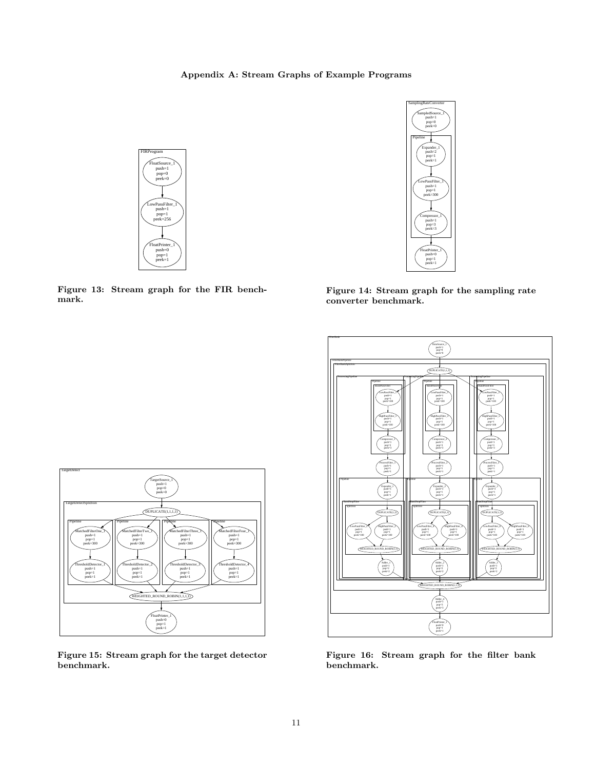Appendix A: Stream Graphs of Example Programs



Figure 13: Stream graph for the FIR benchmark.



Figure 14: Stream graph for the sampling rate converter benchmark.



Figure 15: Stream graph for the target detector benchmark.



Figure 16: Stream graph for the filter bank benchmark.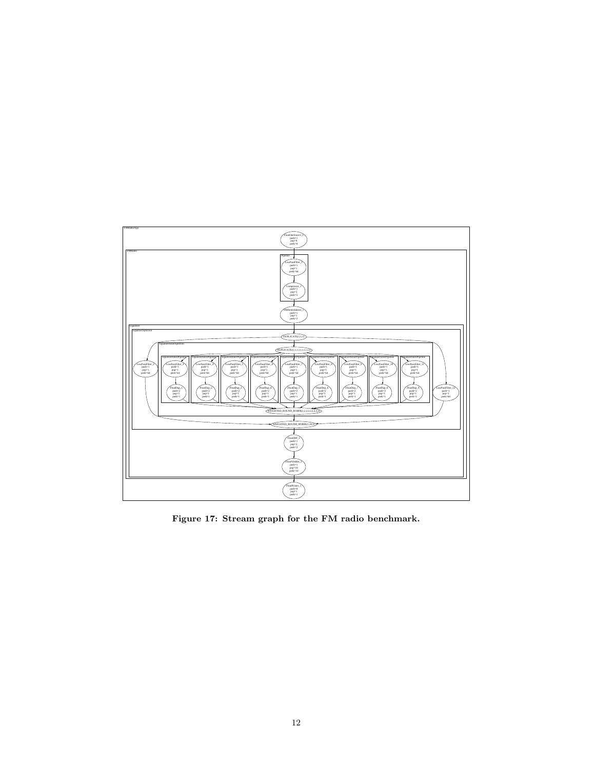

Figure 17: Stream graph for the FM radio benchmark.